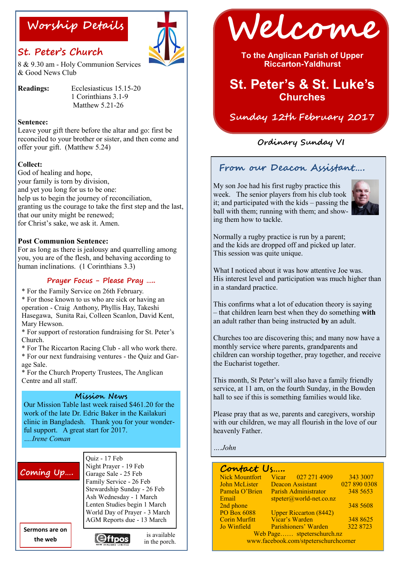## **St. Peter's Church**



8 & 9.30 am - Holy Communion Services & Good News Club

**Readings:** Ecclesiasticus 15.15-20 1 Corinthians 3.1-9 Matthew 5.21-26

#### **Sentence:**

Leave your gift there before the altar and go: first be reconciled to your brother or sister, and then come and offer your gift. (Matthew 5.24)

#### **Collect:**

God of healing and hope, your family is torn by division, and yet you long for us to be one: help us to begin the journey of reconciliation, granting us the courage to take the first step and the last, that our unity might be renewed; for Christ's sake, we ask it. Amen.

#### **Post Communion Sentence:**

For as long as there is jealousy and quarrelling among you, you are of the flesh, and behaving according to human inclinations. (1 Corinthians 3.3)

#### **Prayer Focus - Please Pray …..**

\* For the Family Service on 26th February.

\* For those known to us who are sick or having an operation - Craig Anthony, Phyllis Hay, Takeshi Hasegawa, Sunita Rai, Colleen Scanlon, David Kent, Mary Hewson.

\* For support of restoration fundraising for St. Peter's Church.

\* For The Riccarton Racing Club - all who work there.

\* For our next fundraising ventures - the Quiz and Garage Sale.

\* For the Church Property Trustees, The Anglican Centre and all staff.

#### **Mission News**

Our Mission Table last week raised \$461.20 for the work of the late Dr. Edric Baker in the Kailakuri clinic in Bangladesh. Thank you for your wonderful support. A great start for 2017. *….Irene Coman* 

### **Coming Up….**

Quiz - 17 Feb Night Prayer - 19 Feb Garage Sale - 25 Feb Family Service - 26 Feb Stewardship Sunday - 26 Feb Ash Wednesday - 1 March Lenten Studies begin 1 March World Day of Prayer - 3 March AGM Reports due - 13 March

> is available in the porch.

**Sermons are on the web**



**Worship Details Welcome**

**To the Anglican Parish of Upper Riccarton-Yaldhurst**

# **St. Peter's & St. Luke's Churches**

### **Sunday 12th February 2017**

### **Ordinary Sunday VI**

### **From our Deacon Assistant….**

My son Joe had his first rugby practice this week. The senior players from his club took it; and participated with the kids – passing the ball with them; running with them; and showing them how to tackle.



Normally a rugby practice is run by a parent; and the kids are dropped off and picked up later. This session was quite unique.

What I noticed about it was how attentive Joe was. His interest level and participation was much higher than in a standard practice.

This confirms what a lot of education theory is saying – that children learn best when they do something **with**  an adult rather than being instructed **by** an adult.

Churches too are discovering this; and many now have a monthly service where parents, grandparents and children can worship together, pray together, and receive the Eucharist together.

This month, St Peter's will also have a family friendly service, at 11 am, on the fourth Sunday, in the Bowden hall to see if this is something families would like.

Please pray that as we, parents and caregivers, worship with our children, we may all flourish in the love of our heavenly Father.

*….John*

| Contact Us                            |                               |              |
|---------------------------------------|-------------------------------|--------------|
| <b>Nick Mountfort</b>                 | Vicar 027 271 4909            | 343 3007     |
| <b>John McLister</b>                  | <b>Deacon Assistant</b>       | 027 890 0308 |
| Pamela O'Brien                        | Parish Administrator          | 348 5653     |
| Email                                 | $stpeter@world-net.co.nz$     |              |
| 2nd phone                             |                               | 348 5608     |
| <b>PO Box 6088</b>                    | <b>Upper Riccarton (8442)</b> |              |
| <b>Corin Murfitt</b>                  | Vicar's Warden                | 348 8625     |
| Jo Winfield                           | Parishioners' Warden          | 322 8723     |
| Web Page stpeterschurch.nz            |                               |              |
| www.facebook.com/stpeterschurchcorner |                               |              |